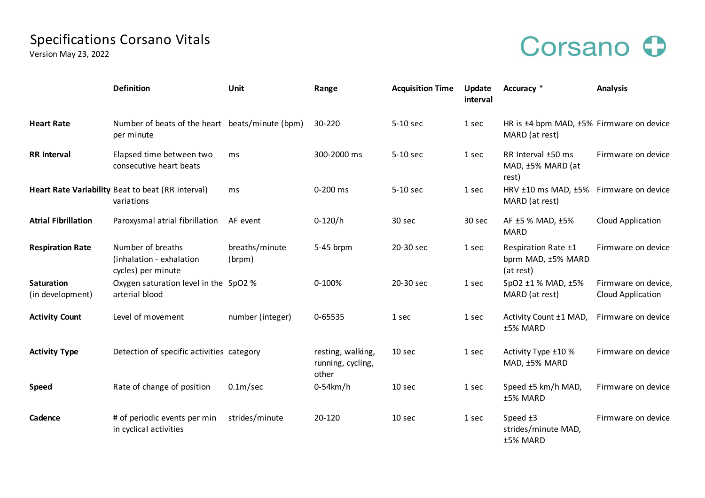## Specifications Corsano Vitals

Version May 23, 2022

## Corsano O

|                                       | <b>Definition</b>                                                   | Unit                     | Range                                           | <b>Acquisition Time</b> | Update<br>interval | Accuracy *                                                 | <b>Analysis</b>                          |
|---------------------------------------|---------------------------------------------------------------------|--------------------------|-------------------------------------------------|-------------------------|--------------------|------------------------------------------------------------|------------------------------------------|
| <b>Heart Rate</b>                     | Number of beats of the heart beats/minute (bpm)<br>per minute       |                          | 30-220                                          | 5-10 sec                | 1 sec              | HR is ±4 bpm MAD, ±5% Firmware on device<br>MARD (at rest) |                                          |
| <b>RR</b> Interval                    | Elapsed time between two<br>consecutive heart beats                 | ms                       | 300-2000 ms                                     | 5-10 sec                | 1 sec              | RR Interval ±50 ms<br>MAD, ±5% MARD (at<br>rest)           | Firmware on device                       |
|                                       | Heart Rate Variability Beat to beat (RR interval)<br>variations     | ms                       | 0-200 ms                                        | 5-10 sec                | 1 sec              | HRV $\pm 10$ ms MAD, $\pm 5\%$<br>MARD (at rest)           | Firmware on device                       |
| <b>Atrial Fibrillation</b>            | Paroxysmal atrial fibrillation                                      | AF event                 | $0-120/h$                                       | 30 sec                  | 30 sec             | AF ±5 % MAD, ±5%<br><b>MARD</b>                            | Cloud Application                        |
| <b>Respiration Rate</b>               | Number of breaths<br>(inhalation - exhalation<br>cycles) per minute | breaths/minute<br>(brpm) | 5-45 brpm                                       | 20-30 sec               | 1 sec              | Respiration Rate ±1<br>bprm MAD, ±5% MARD<br>(at rest)     | Firmware on device                       |
| <b>Saturation</b><br>(in development) | Oxygen saturation level in the SpO2 %<br>arterial blood             |                          | 0-100%                                          | 20-30 sec               | 1 sec              | SpO2 ±1 % MAD, ±5%<br>MARD (at rest)                       | Firmware on device,<br>Cloud Application |
| <b>Activity Count</b>                 | Level of movement                                                   | number (integer)         | 0-65535                                         | 1 sec                   | 1 sec              | Activity Count ±1 MAD,<br>±5% MARD                         | Firmware on device                       |
| <b>Activity Type</b>                  | Detection of specific activities category                           |                          | resting, walking,<br>running, cycling,<br>other | 10 sec                  | 1 sec              | Activity Type ±10 %<br>MAD, ±5% MARD                       | Firmware on device                       |
| <b>Speed</b>                          | Rate of change of position                                          | 0.1 <sub>m</sub> /sec    | $0-54km/h$                                      | 10 sec                  | 1 sec              | Speed ±5 km/h MAD,<br>±5% MARD                             | Firmware on device                       |
| Cadence                               | # of periodic events per min<br>in cyclical activities              | strides/minute           | 20-120                                          | 10 sec                  | 1 sec              | Speed $±3$<br>strides/minute MAD,<br>±5% MARD              | Firmware on device                       |